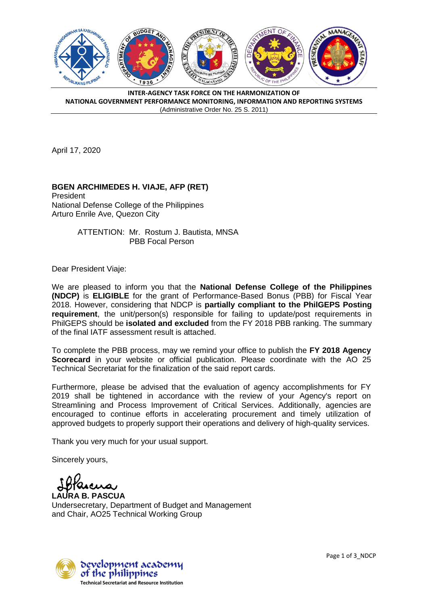

**INTER-AGENCY TASK FORCE ON THE HARMONIZATION OF NATIONAL GOVERNMENT PERFORMANCE MONITORING, INFORMATION AND REPORTING SYSTEMS** (Administrative Order No. 25 S. 2011)

April 17, 2020

## **BGEN ARCHIMEDES H. VIAJE, AFP (RET)**

President National Defense College of the Philippines Arturo Enrile Ave, Quezon City

> ATTENTION: Mr. Rostum J. Bautista, MNSA PBB Focal Person

Dear President Viaje:

We are pleased to inform you that the **National Defense College of the Philippines (NDCP)** is **ELIGIBLE** for the grant of Performance-Based Bonus (PBB) for Fiscal Year 2018. However, considering that NDCP is **partially compliant to the PhilGEPS Posting requirement**, the unit/person(s) responsible for failing to update/post requirements in PhilGEPS should be **isolated and excluded** from the FY 2018 PBB ranking. The summary of the final IATF assessment result is attached.

To complete the PBB process, may we remind your office to publish the **FY 2018 Agency Scorecard** in your website or official publication. Please coordinate with the AO 25 Technical Secretariat for the finalization of the said report cards.

Furthermore, please be advised that the evaluation of agency accomplishments for FY 2019 shall be tightened in accordance with the review of your Agency's report on Streamlining and Process Improvement of Critical Services. Additionally, agencies are encouraged to continue efforts in accelerating procurement and timely utilization of approved budgets to properly support their operations and delivery of high-quality services.

Thank you very much for your usual support.

Sincerely yours,

**LAURA B. PASCUA** Undersecretary, Department of Budget and Management and Chair, AO25 Technical Working Group

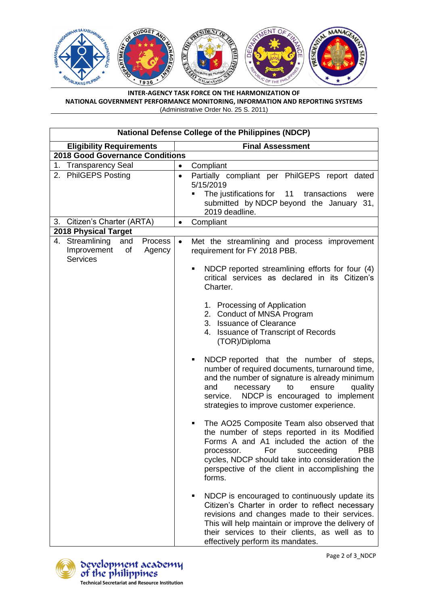

**INTER-AGENCY TASK FORCE ON THE HARMONIZATION OF NATIONAL GOVERNMENT PERFORMANCE MONITORING, INFORMATION AND REPORTING SYSTEMS** (Administrative Order No. 25 S. 2011)

| <b>National Defense College of the Philippines (NDCP)</b>                           |                                                                                                                                                                                                                                                                                                     |
|-------------------------------------------------------------------------------------|-----------------------------------------------------------------------------------------------------------------------------------------------------------------------------------------------------------------------------------------------------------------------------------------------------|
| <b>Eligibility Requirements</b>                                                     | <b>Final Assessment</b>                                                                                                                                                                                                                                                                             |
| <b>2018 Good Governance Conditions</b>                                              |                                                                                                                                                                                                                                                                                                     |
| 1.<br><b>Transparency Seal</b>                                                      | Compliant<br>$\bullet$                                                                                                                                                                                                                                                                              |
| <b>PhilGEPS Posting</b><br>2.                                                       | Partially compliant per PhilGEPS report dated<br>$\bullet$<br>5/15/2019<br>The justifications for 11<br>transactions<br>were<br>submitted by NDCP beyond the January 31,<br>2019 deadline.                                                                                                          |
| Citizen's Charter (ARTA)<br>3.                                                      | Compliant<br>$\bullet$                                                                                                                                                                                                                                                                              |
| <b>2018 Physical Target</b>                                                         |                                                                                                                                                                                                                                                                                                     |
| 4. Streamlining<br>and<br>Process<br>Improvement<br>of<br>Agency<br><b>Services</b> | Met the streamlining and process improvement<br>$\bullet$<br>requirement for FY 2018 PBB.                                                                                                                                                                                                           |
|                                                                                     | NDCP reported streamlining efforts for four (4)<br>critical services as declared in its Citizen's<br>Charter.                                                                                                                                                                                       |
|                                                                                     | 1. Processing of Application<br>2. Conduct of MNSA Program<br>3. Issuance of Clearance<br>4. Issuance of Transcript of Records<br>(TOR)/Diploma                                                                                                                                                     |
|                                                                                     | NDCP reported that the number of steps,<br>number of required documents, turnaround time,<br>and the number of signature is already minimum<br>quality<br>and<br>necessary<br>to<br>ensure<br>NDCP is encouraged to implement<br>service.<br>strategies to improve customer experience.             |
|                                                                                     | The AO25 Composite Team also observed that<br>the number of steps reported in its Modified<br>Forms A and A1 included the action of the<br>processor.<br>For<br>succeeding<br>PBB<br>cycles, NDCP should take into consideration the<br>perspective of the client in accomplishing the<br>forms.    |
|                                                                                     | NDCP is encouraged to continuously update its<br>٠<br>Citizen's Charter in order to reflect necessary<br>revisions and changes made to their services.<br>This will help maintain or improve the delivery of<br>their services to their clients, as well as to<br>effectively perform its mandates. |